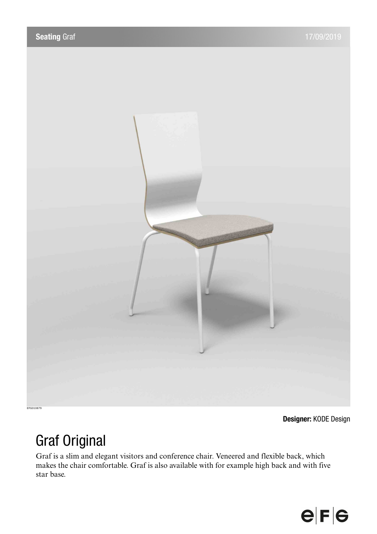

**Designer:** KODE Design

# Graf Original

Graf is a slim and elegant visitors and conference chair. Veneered and flexible back, which makes the chair comfortable. Graf is also available with for example high back and with five star base.

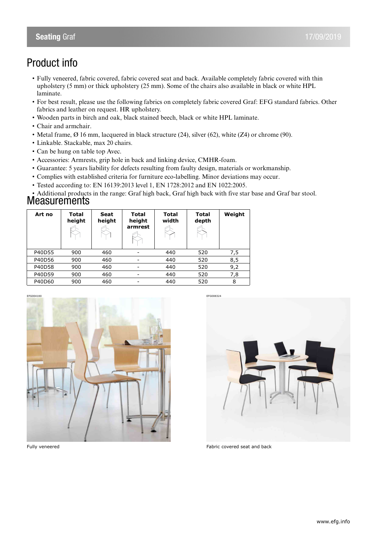# Product info

- Fully veneered, fabric covered, fabric covered seat and back. Available completely fabric covered with thin upholstery (5 mm) or thick upholstery (25 mm). Some of the chairs also available in black or white HPL laminate.
- For best result, please use the following fabrics on completely fabric covered Graf: EFG standard fabrics. Other fabrics and leather on request. HR upholstery.
- Wooden parts in birch and oak, black stained beech, black or white HPL laminate.
- Chair and armchair.
- Metal frame, Ø 16 mm, lacquered in black structure (24), silver (62), white (Z4) or chrome (90).
- Linkable. Stackable, max 20 chairs.
- Can be hung on table top Avec.
- Accessories: Armrests, grip hole in back and linking device, CMHR-foam.
- Guarantee: 5 years liability for defects resulting from faulty design, materials or workmanship.
- Complies with established criteria for furniture eco-labelling. Minor deviations may occur.
- Tested according to: EN 16139:2013 level 1, EN 1728:2012 and EN 1022:2005.

• Additional products in the range: Graf high back, Graf high back with five star base and Graf bar stool.

### **Measurements**

| Art no | Total<br>height | <b>Seat</b><br>height | Total<br>height<br>armrest   | Total<br>width | Total<br>depth | Weight |
|--------|-----------------|-----------------------|------------------------------|----------------|----------------|--------|
| P40D55 | 900             | 460                   |                              | 440            | 520            | 7,5    |
| P40D56 | 900             | 460                   | -                            | 440            | 520            | 8,5    |
| P40D58 | 900             | 460                   | $\qquad \qquad \blacksquare$ | 440            | 520            | 9,2    |
| P40D59 | 900             | 460                   | -                            | 440            | 520            | 7,8    |
| P40D60 | 900             | 460                   | -                            | 440            | 520            | 8      |





Fully veneered Fabric covered seat and back